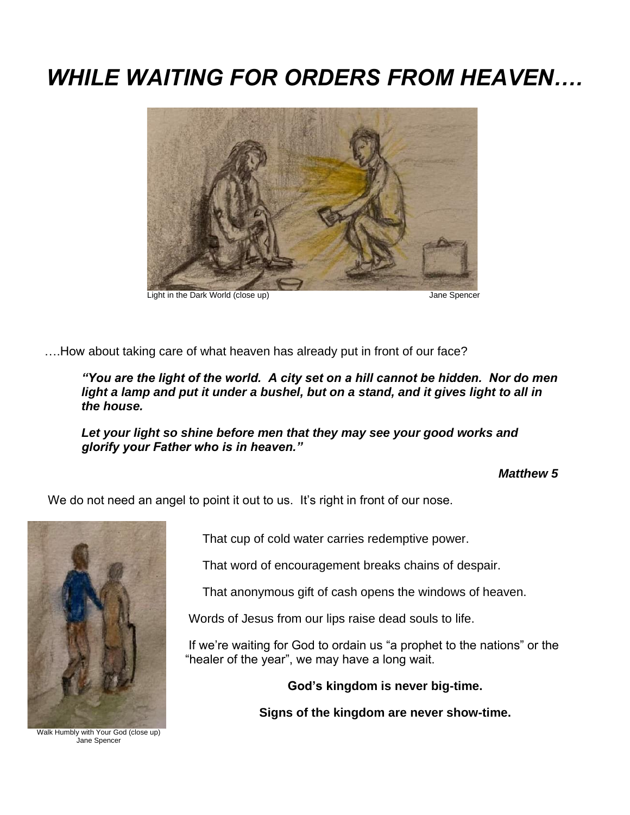## *WHILE WAITING FOR ORDERS FROM HEAVEN….*



….How about taking care of what heaven has already put in front of our face?

*"You are the light of the world. A city set on a hill cannot be hidden. Nor do men*  light a lamp and put it under a bushel, but on a stand, and it gives light to all in *the house.*

*Let your light so shine before men that they may see your good works and glorify your Father who is in heaven."*

## *Matthew 5*

We do not need an angel to point it out to us. It's right in front of our nose.



Walk Humbly with Your God (close up) Jane Spencer

That cup of cold water carries redemptive power.

That word of encouragement breaks chains of despair.

That anonymous gift of cash opens the windows of heaven.

Words of Jesus from our lips raise dead souls to life.

If we're waiting for God to ordain us "a prophet to the nations" or the "healer of the year", we may have a long wait.

**God's kingdom is never big-time.**

**Signs of the kingdom are never show-time.**